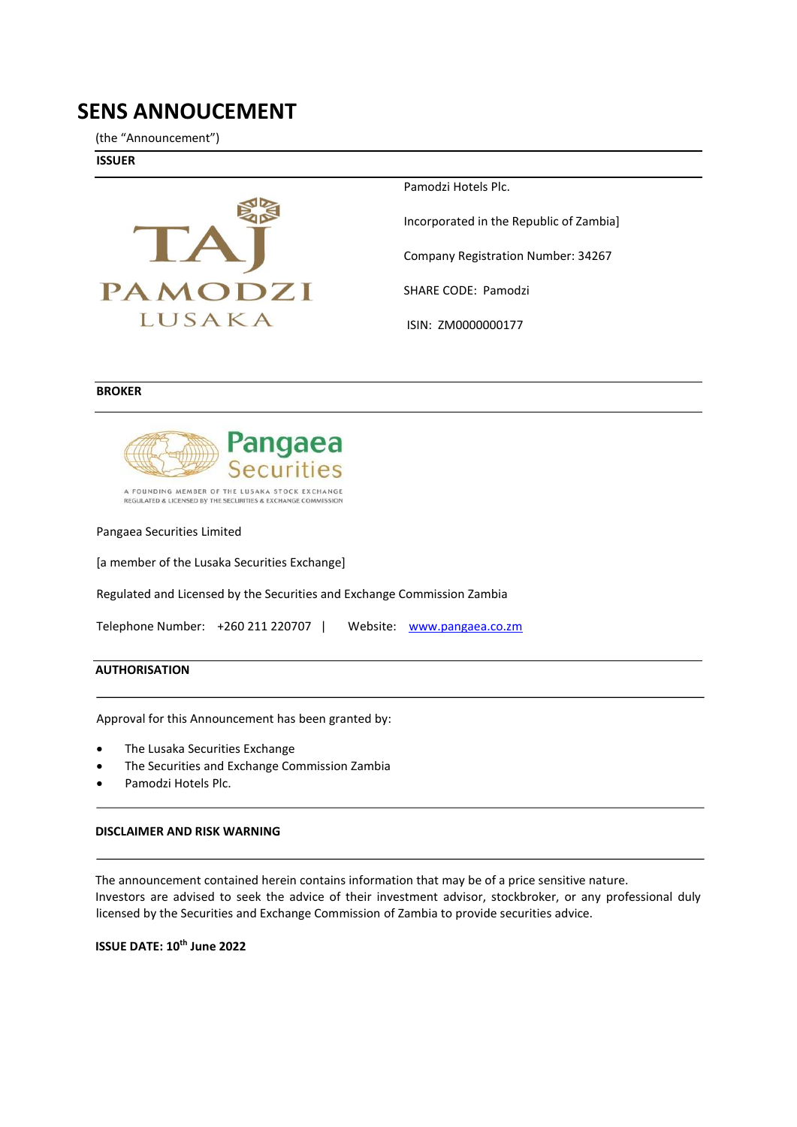# **SENS ANNOUCEMENT**

(the "Announcement")

**ISSUER** 



Pamodzi Hotels Plc.

Incorporated in the Republic of Zambia]

Company Registration Number: 34267

SHARE CODE: Pamodzi

ISIN: ZM0000000177

### **BROKER**



A FOUNDING MEMBER OF THE LUSAKA STOCK EXCHANGE<br>REGULATED & LICENSED BY THE SECURITIES & EXCHANGE COMMISSION

Pangaea Securities Limited

[a member of the Lusaka Securities Exchange]

Regulated and Licensed by the Securities and Exchange Commission Zambia

Telephone Number: +260 211 220707 | Website: [www.pangaea.co.zm](http://www.pangaea.co.zm/) 

### **AUTHORISATION**

Approval for this Announcement has been granted by:

- The Lusaka Securities Exchange
- The Securities and Exchange Commission Zambia
- Pamodzi Hotels Plc.

### **DISCLAIMER AND RISK WARNING**

The announcement contained herein contains information that may be of a price sensitive nature. Investors are advised to seek the advice of their investment advisor, stockbroker, or any professional duly licensed by the Securities and Exchange Commission of Zambia to provide securities advice.

**ISSUE DATE: 10th June 2022**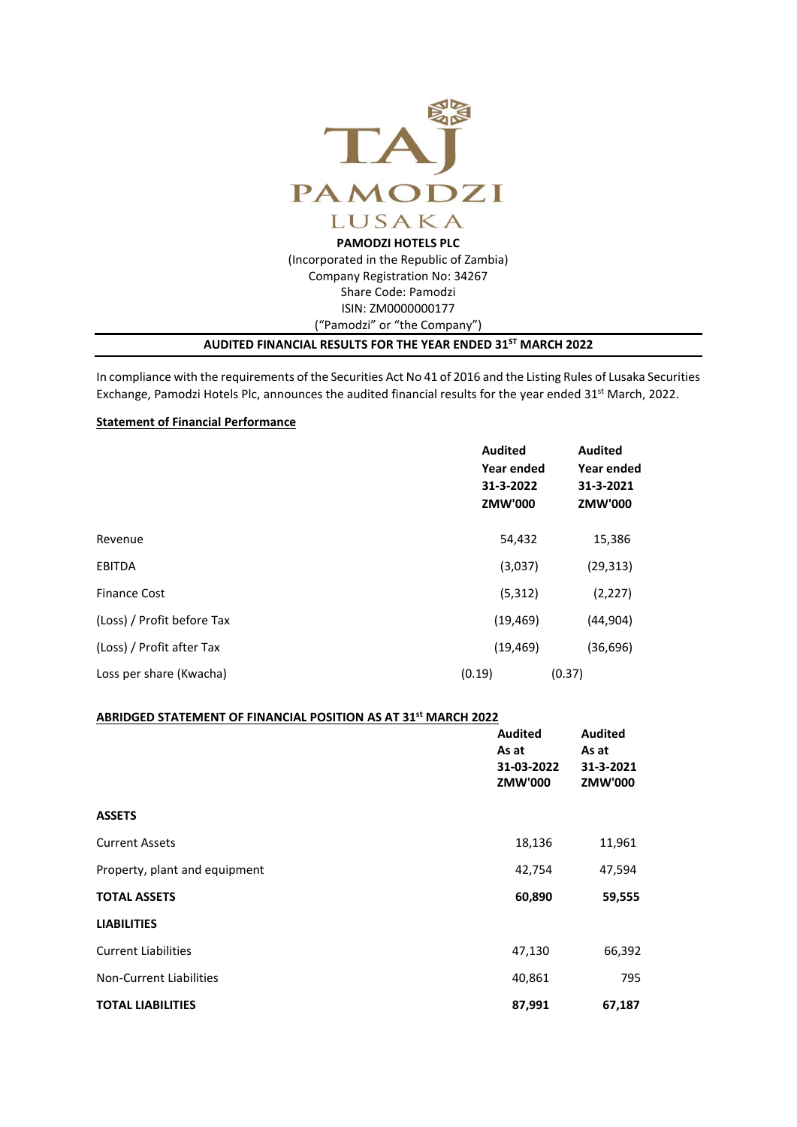

(Incorporated in the Republic of Zambia) Company Registration No: 34267 Share Code: Pamodzi ISIN: ZM0000000177 ("Pamodzi" or "the Company")

### **AUDITED FINANCIAL RESULTS FOR THE YEAR ENDED 31ST MARCH 2022**

In compliance with the requirements of the Securities Act No 41 of 2016 and the Listing Rules of Lusaka Securities Exchange, Pamodzi Hotels Plc, announces the audited financial results for the year ended 31<sup>st</sup> March, 2022.

## **Statement of Financial Performance**

|                            | <b>Audited</b><br>Year ended<br>31-3-2022<br>ZMW'000 | <b>Audited</b><br>Year ended<br>31-3-2021<br>ZMW'000 |
|----------------------------|------------------------------------------------------|------------------------------------------------------|
| Revenue                    | 54,432                                               | 15,386                                               |
| <b>EBITDA</b>              | (3,037)                                              | (29, 313)                                            |
| <b>Finance Cost</b>        | (5, 312)                                             | (2, 227)                                             |
| (Loss) / Profit before Tax | (19, 469)                                            | (44, 904)                                            |
| (Loss) / Profit after Tax  | (19, 469)                                            | (36,696)                                             |
| Loss per share (Kwacha)    | (0.19)                                               | (0.37)                                               |

### **ABRIDGED STATEMENT OF FINANCIAL POSITION AS AT 31 st MARCH 2022**

|                                | <b>Audited</b><br>As at<br>31-03-2022<br>ZMW'000 | <b>Audited</b><br>As at<br>31-3-2021<br>ZMW'000 |  |
|--------------------------------|--------------------------------------------------|-------------------------------------------------|--|
| <b>ASSETS</b>                  |                                                  |                                                 |  |
| <b>Current Assets</b>          | 18,136                                           | 11,961                                          |  |
| Property, plant and equipment  | 42,754                                           | 47,594                                          |  |
| <b>TOTAL ASSETS</b>            | 60,890                                           | 59,555                                          |  |
| <b>LIABILITIES</b>             |                                                  |                                                 |  |
| <b>Current Liabilities</b>     | 47,130                                           | 66,392                                          |  |
| <b>Non-Current Liabilities</b> | 40,861                                           | 795                                             |  |
| <b>TOTAL LIABILITIES</b>       | 87,991                                           | 67,187                                          |  |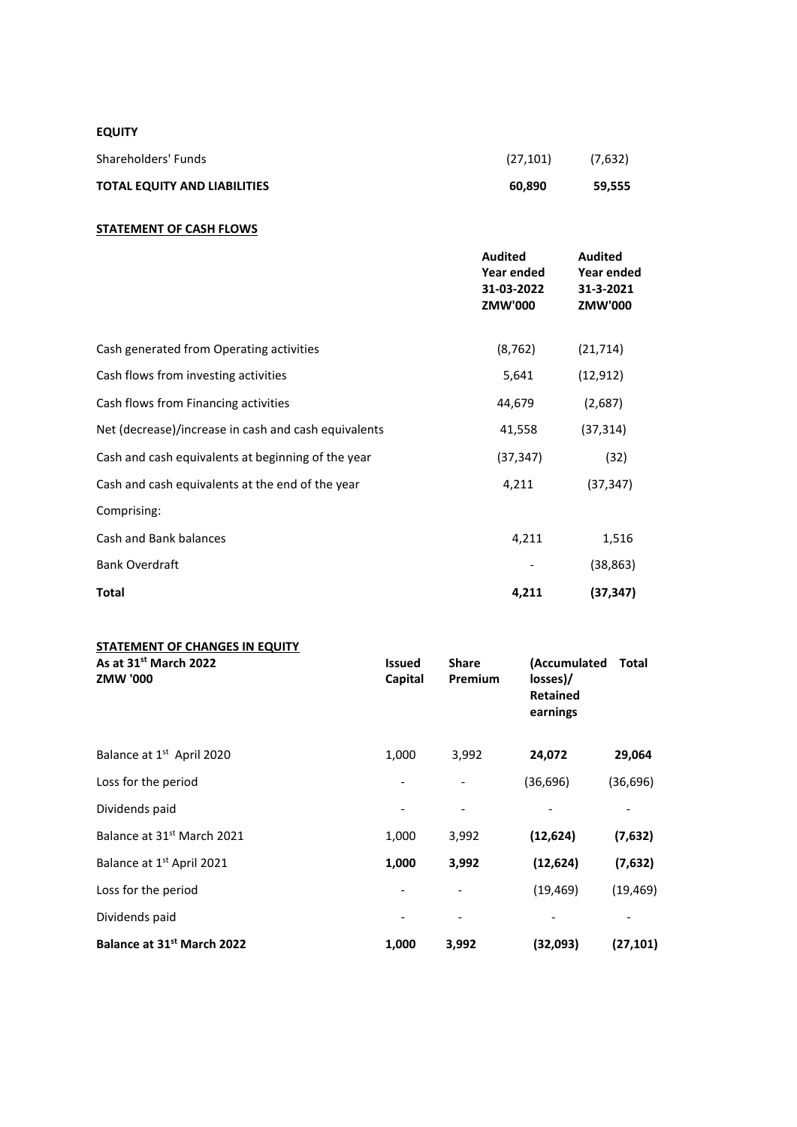# **EQUITY**

| Shareholders' Funds                 | (27, 101) | (7,632) |
|-------------------------------------|-----------|---------|
| <b>TOTAL EQUITY AND LIABILITIES</b> | 60.890    | 59.555  |

### **STATEMENT OF CASH FLOWS**

|                                                      | <b>Audited</b><br>Year ended<br>31-03-2022<br>ZMW'000 | <b>Audited</b><br>Year ended<br>31-3-2021<br>ZMW'000 |
|------------------------------------------------------|-------------------------------------------------------|------------------------------------------------------|
| Cash generated from Operating activities             | (8, 762)                                              | (21, 714)                                            |
| Cash flows from investing activities                 | 5,641                                                 | (12, 912)                                            |
| Cash flows from Financing activities                 | 44,679                                                | (2,687)                                              |
| Net (decrease)/increase in cash and cash equivalents | 41,558                                                | (37, 314)                                            |
| Cash and cash equivalents at beginning of the year   | (37, 347)                                             | (32)                                                 |
| Cash and cash equivalents at the end of the year     | 4,211                                                 | (37, 347)                                            |
| Comprising:                                          |                                                       |                                                      |
| Cash and Bank balances                               | 4,211                                                 | 1,516                                                |
| <b>Bank Overdraft</b>                                |                                                       | (38, 863)                                            |
| <b>Total</b>                                         | 4,211                                                 | (37, 347)                                            |

| <b>STATEMENT OF CHANGES IN EQUITY</b>                |                          |                         |                                                         |           |
|------------------------------------------------------|--------------------------|-------------------------|---------------------------------------------------------|-----------|
| As at 31 <sup>st</sup> March 2022<br><b>ZMW '000</b> | <b>Issued</b><br>Capital | <b>Share</b><br>Premium | (Accumulated<br>losses)/<br><b>Retained</b><br>earnings | Total     |
| Balance at 1 <sup>st</sup> April 2020                | 1,000                    | 3,992                   | 24,072                                                  | 29,064    |
| Loss for the period                                  |                          |                         | (36,696)                                                | (36, 696) |
| Dividends paid                                       |                          |                         |                                                         |           |
| Balance at 31 <sup>st</sup> March 2021               | 1,000                    | 3,992                   | (12, 624)                                               | (7,632)   |
| Balance at 1 <sup>st</sup> April 2021                | 1,000                    | 3,992                   | (12, 624)                                               | (7,632)   |
| Loss for the period                                  |                          |                         | (19, 469)                                               | (19, 469) |
| Dividends paid                                       |                          |                         |                                                         |           |
| Balance at 31 <sup>st</sup> March 2022               | 1,000                    | 3,992                   | (32,093)                                                | (27,101)  |